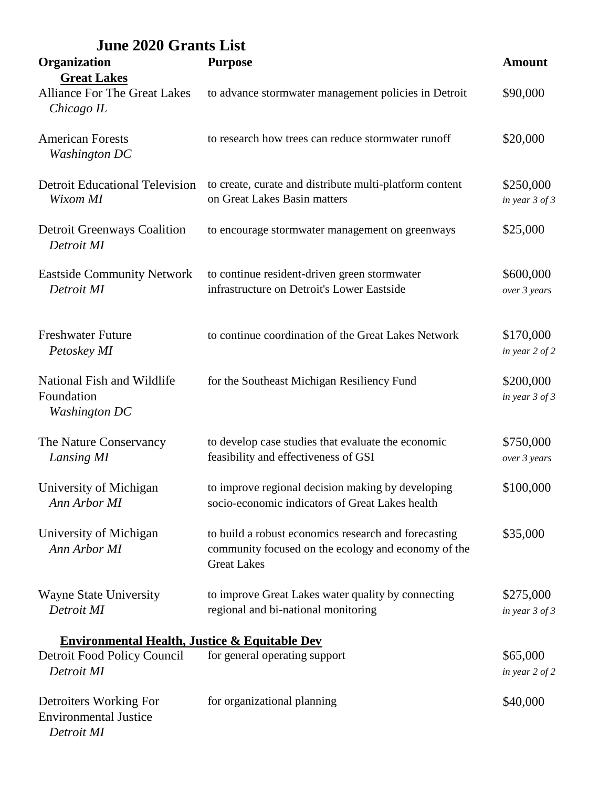| <b>June 2020 Grants List</b>                                            |                                                                                                                                   |                                 |
|-------------------------------------------------------------------------|-----------------------------------------------------------------------------------------------------------------------------------|---------------------------------|
| Organization                                                            | <b>Purpose</b>                                                                                                                    | <b>Amount</b>                   |
| <b>Great Lakes</b><br><b>Alliance For The Great Lakes</b><br>Chicago IL | to advance stormwater management policies in Detroit                                                                              | \$90,000                        |
| <b>American Forests</b><br><b>Washington DC</b>                         | to research how trees can reduce stormwater runoff                                                                                | \$20,000                        |
| <b>Detroit Educational Television</b><br>Wixom MI                       | to create, curate and distribute multi-platform content<br>on Great Lakes Basin matters                                           | \$250,000<br>in year 3 of 3     |
| <b>Detroit Greenways Coalition</b><br>Detroit MI                        | to encourage stormwater management on greenways                                                                                   | \$25,000                        |
| <b>Eastside Community Network</b><br>Detroit MI                         | to continue resident-driven green stormwater<br>infrastructure on Detroit's Lower Eastside                                        | \$600,000<br>over 3 years       |
| <b>Freshwater Future</b><br>Petoskey MI                                 | to continue coordination of the Great Lakes Network                                                                               | \$170,000<br>in year 2 of 2     |
| National Fish and Wildlife<br>Foundation<br><b>Washington DC</b>        | for the Southeast Michigan Resiliency Fund                                                                                        | \$200,000<br>in year 3 of 3     |
| The Nature Conservancy<br>Lansing MI                                    | to develop case studies that evaluate the economic<br>feasibility and effectiveness of GSI                                        | \$750,000<br>over 3 years       |
| University of Michigan<br>Ann Arbor MI                                  | to improve regional decision making by developing<br>socio-economic indicators of Great Lakes health                              | \$100,000                       |
| University of Michigan<br>Ann Arbor MI                                  | to build a robust economics research and forecasting<br>community focused on the ecology and economy of the<br><b>Great Lakes</b> | \$35,000                        |
| <b>Wayne State University</b><br>Detroit MI                             | to improve Great Lakes water quality by connecting<br>regional and bi-national monitoring                                         | \$275,000<br>in year $3$ of $3$ |
| <b>Environmental Health, Justice &amp; Equitable Dev</b>                |                                                                                                                                   |                                 |
| Detroit Food Policy Council<br>Detroit MI                               | for general operating support                                                                                                     | \$65,000<br>in year 2 of 2      |
| Detroiters Working For<br><b>Environmental Justice</b><br>Detroit MI    | for organizational planning                                                                                                       | \$40,000                        |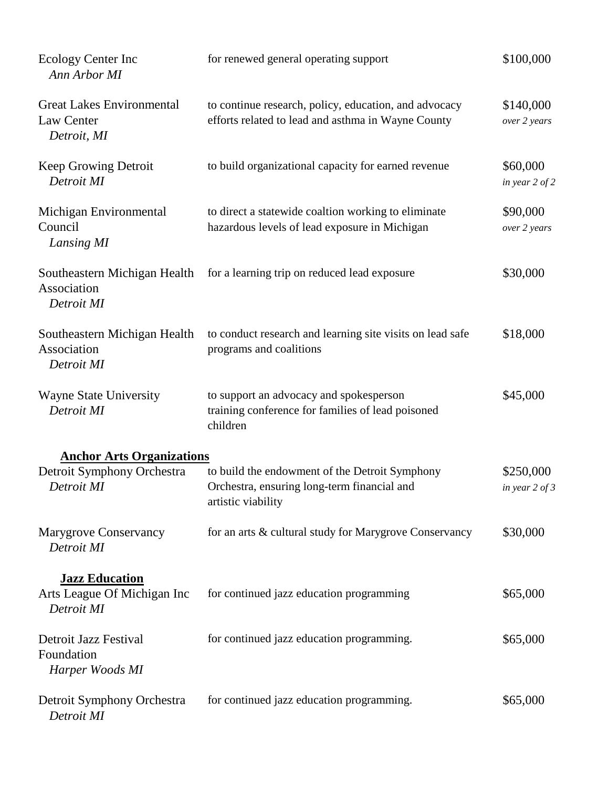| Ecology Center Inc<br>Ann Arbor MI                            | for renewed general operating support                                                                               | \$100,000                       |
|---------------------------------------------------------------|---------------------------------------------------------------------------------------------------------------------|---------------------------------|
| <b>Great Lakes Environmental</b><br>Law Center<br>Detroit, MI | to continue research, policy, education, and advocacy<br>efforts related to lead and asthma in Wayne County         | \$140,000<br>over 2 years       |
| Keep Growing Detroit<br>Detroit MI                            | to build organizational capacity for earned revenue                                                                 | \$60,000<br>in year $2$ of $2$  |
| Michigan Environmental<br>Council<br>Lansing MI               | to direct a statewide coaltion working to eliminate<br>hazardous levels of lead exposure in Michigan                | \$90,000<br>over 2 years        |
| Southeastern Michigan Health<br>Association<br>Detroit MI     | for a learning trip on reduced lead exposure                                                                        | \$30,000                        |
| Southeastern Michigan Health<br>Association<br>Detroit MI     | to conduct research and learning site visits on lead safe<br>programs and coalitions                                | \$18,000                        |
| <b>Wayne State University</b><br>Detroit MI                   | to support an advocacy and spokesperson<br>training conference for families of lead poisoned<br>children            | \$45,000                        |
| <b>Anchor Arts Organizations</b>                              |                                                                                                                     |                                 |
| Detroit Symphony Orchestra<br>Detroit MI                      | to build the endowment of the Detroit Symphony<br>Orchestra, ensuring long-term financial and<br>artistic viability | \$250,000<br>in year $2$ of $3$ |
| <b>Marygrove Conservancy</b><br>Detroit MI                    | for an arts & cultural study for Marygrove Conservancy                                                              | \$30,000                        |
| <b>Jazz Education</b>                                         |                                                                                                                     |                                 |
| Arts League Of Michigan Inc<br>Detroit MI                     | for continued jazz education programming                                                                            | \$65,000                        |
| Detroit Jazz Festival<br>Foundation<br>Harper Woods MI        | for continued jazz education programming.                                                                           | \$65,000                        |
| Detroit Symphony Orchestra<br>Detroit MI                      | for continued jazz education programming.                                                                           | \$65,000                        |